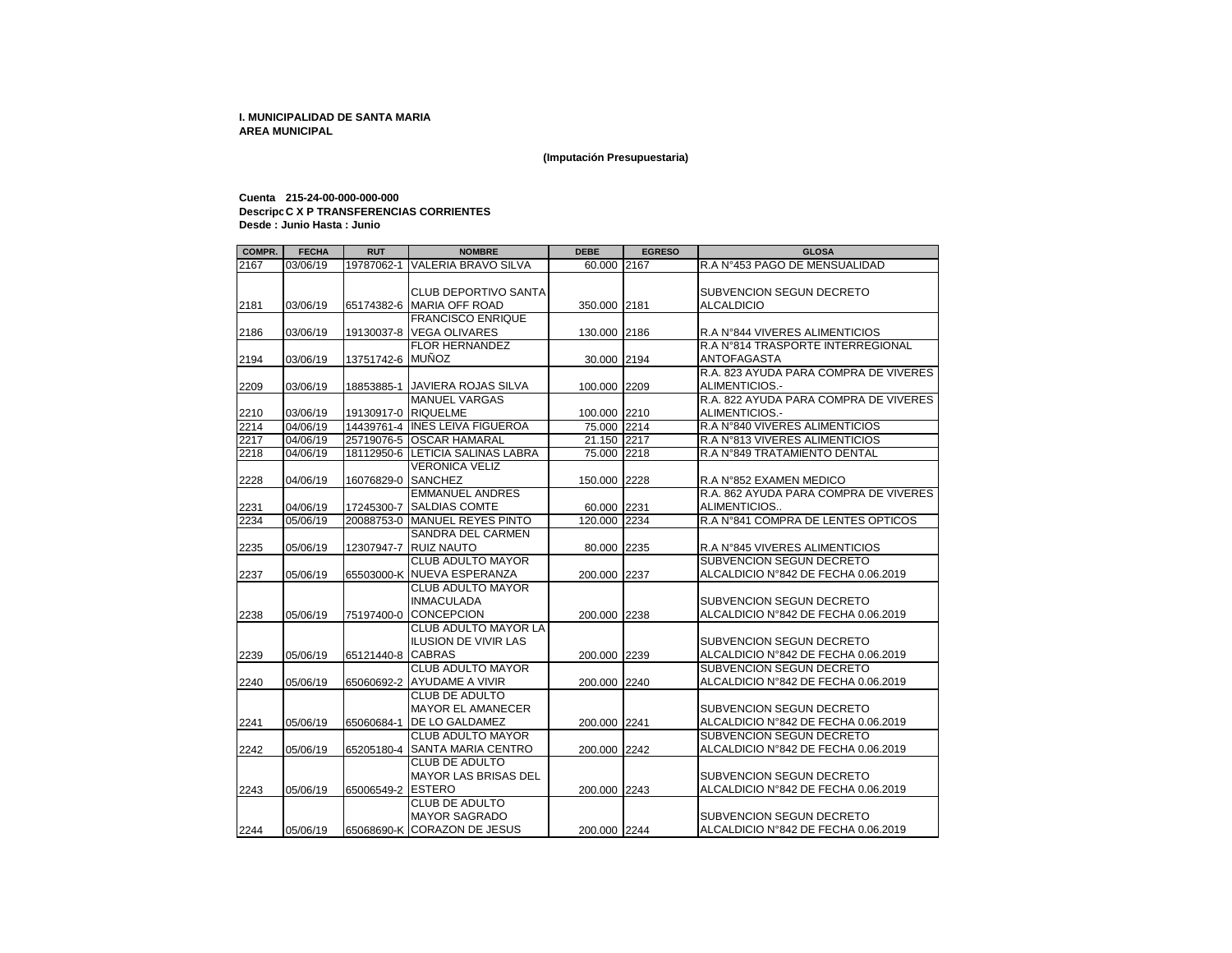**(Imputación Presupuestaria)**

## **Cuenta 215-24-00-000-000-000 Descripcion C X P TRANSFERENCIAS CORRIENTES Desde : Junio Hasta : Junio**

| COMPR. | <b>FECHA</b> | <b>RUT</b>          | <b>NOMBRE</b>                                        | <b>DEBE</b>  | <b>EGRESO</b> | <b>GLOSA</b>                          |
|--------|--------------|---------------------|------------------------------------------------------|--------------|---------------|---------------------------------------|
| 2167   | 03/06/19     | 19787062-1          | <b>VALERIA BRAVO SILVA</b>                           | 60.000       | 2167          | R.A N°453 PAGO DE MENSUALIDAD         |
|        |              |                     | <b>CLUB DEPORTIVO SANTA</b>                          |              |               | SUBVENCION SEGUN DECRETO              |
| 2181   | 03/06/19     |                     | 65174382-6 MARIA OFF ROAD                            | 350.000 2181 |               | <b>ALCALDICIO</b>                     |
| 2186   | 03/06/19     |                     | <b>FRANCISCO ENRIQUE</b><br>19130037-8 VEGA OLIVARES | 130.000      | 2186          | R.A N°844 VIVERES ALIMENTICIOS        |
|        |              |                     | <b>FLOR HERNANDEZ</b>                                |              |               | R.A N°814 TRASPORTE INTERREGIONAL     |
| 2194   | 03/06/19     | 13751742-6 MUÑOZ    |                                                      | 30.000       | 2194          | <b>ANTOFAGASTA</b>                    |
|        |              |                     |                                                      |              |               | R.A. 823 AYUDA PARA COMPRA DE VIVERES |
| 2209   | 03/06/19     | 18853885-1          | <b>JAVIERA ROJAS SILVA</b>                           | 100.000      | 2209          | ALIMENTICIOS.-                        |
|        |              |                     | <b>MANUEL VARGAS</b>                                 |              |               | R.A. 822 AYUDA PARA COMPRA DE VIVERES |
| 2210   | 03/06/19     | 19130917-0 RIQUELME |                                                      | 100.000 2210 |               | ALIMENTICIOS.-                        |
| 2214   | 04/06/19     |                     | 14439761-4 INES LEIVA FIGUEROA                       | 75.000 2214  |               | R.A N°840 VIVERES ALIMENTICIOS        |
| 2217   | 04/06/19     |                     | 25719076-5 OSCAR HAMARAL                             | 21.150 2217  |               | R.A N°813 VIVERES ALIMENTICIOS        |
| 2218   | 04/06/19     |                     | 18112950-6 LETICIA SALINAS LABRA                     | 75.000       | 2218          | R.A N°849 TRATAMIENTO DENTAL          |
|        |              |                     | VERONICA VELIZ                                       |              |               |                                       |
| 2228   | 04/06/19     | 16076829-0          | <b>SANCHEZ</b>                                       | 150.000      | 2228          | R.A N°852 EXAMEN MEDICO               |
|        |              |                     | <b>EMMANUEL ANDRES</b>                               |              |               | R.A. 862 AYUDA PARA COMPRA DE VIVERES |
| 2231   | 04/06/19     |                     | 17245300-7 SALDIAS COMTE                             | 60.000 2231  |               | ALIMENTICIOS                          |
| 2234   | 05/06/19     |                     | 20088753-0 MANUEL REYES PINTO                        | 120.000      | 2234          | R.A N°841 COMPRA DE LENTES OPTICOS    |
|        |              |                     | SANDRA DEL CARMEN                                    |              |               |                                       |
| 2235   | 05/06/19     | 12307947-7          | <b>RUIZ NAUTO</b>                                    | 80.000       | 2235          | R.A N°845 VIVERES ALIMENTICIOS        |
|        |              |                     | <b>CLUB ADULTO MAYOR</b>                             |              |               | <b>SUBVENCION SEGUN DECRETO</b>       |
| 2237   | 05/06/19     |                     | 65503000-K NUEVA ESPERANZA                           | 200.000 2237 |               | ALCALDICIO N°842 DE FECHA 0.06.2019   |
|        |              |                     | <b>CLUB ADULTO MAYOR</b>                             |              |               |                                       |
|        |              |                     | <b>INMACULADA</b>                                    |              |               | SUBVENCION SEGUN DECRETO              |
| 2238   | 05/06/19     | 75197400-0          | <b>CONCEPCION</b>                                    | 200.000 2238 |               | ALCALDICIO N°842 DE FECHA 0.06.2019   |
|        |              |                     | <b>CLUB ADULTO MAYOR LA</b>                          |              |               |                                       |
|        |              |                     | <b>ILUSION DE VIVIR LAS</b>                          |              |               | SUBVENCION SEGUN DECRETO              |
| 2239   | 05/06/19     | 65121440-8 CABRAS   |                                                      | 200.000 2239 |               | ALCALDICIO N°842 DE FECHA 0.06.2019   |
|        |              |                     | <b>CLUB ADULTO MAYOR</b>                             |              |               | <b>SUBVENCION SEGUN DECRETO</b>       |
| 2240   | 05/06/19     |                     | 65060692-2 AYUDAME A VIVIR                           | 200.000 2240 |               | ALCALDICIO N°842 DE FECHA 0.06.2019   |
|        |              |                     | <b>CLUB DE ADULTO</b>                                |              |               |                                       |
|        |              |                     | <b>MAYOR EL AMANECER</b>                             |              |               | SUBVENCION SEGUN DECRETO              |
| 2241   | 05/06/19     | 65060684-1          | <b>IDE LO GALDAMEZ</b>                               | 200.000      | 2241          | ALCALDICIO N°842 DE FECHA 0.06.2019   |
|        |              |                     | <b>CLUB ADULTO MAYOR</b>                             |              |               | <b>SUBVENCION SEGUN DECRETO</b>       |
| 2242   | 05/06/19     | 65205180-4          | <b>SANTA MARIA CENTRO</b>                            | 200.000 2242 |               | ALCALDICIO N°842 DE FECHA 0.06.2019   |
|        |              |                     | CLUB DE ADULTO                                       |              |               |                                       |
|        |              |                     | <b>MAYOR LAS BRISAS DEL</b>                          |              |               | SUBVENCION SEGUN DECRETO              |
| 2243   | 05/06/19     | 65006549-2 ESTERO   |                                                      | 200.000 2243 |               | ALCALDICIO N°842 DE FECHA 0.06.2019   |
|        |              |                     | <b>CLUB DE ADULTO</b>                                |              |               |                                       |
|        |              |                     | <b>MAYOR SAGRADO</b>                                 |              |               | SUBVENCION SEGUN DECRETO              |
| 2244   | 05/06/19     |                     | 65068690-K CORAZON DE JESUS                          | 200.000 2244 |               | ALCALDICIO N°842 DE FECHA 0.06.2019   |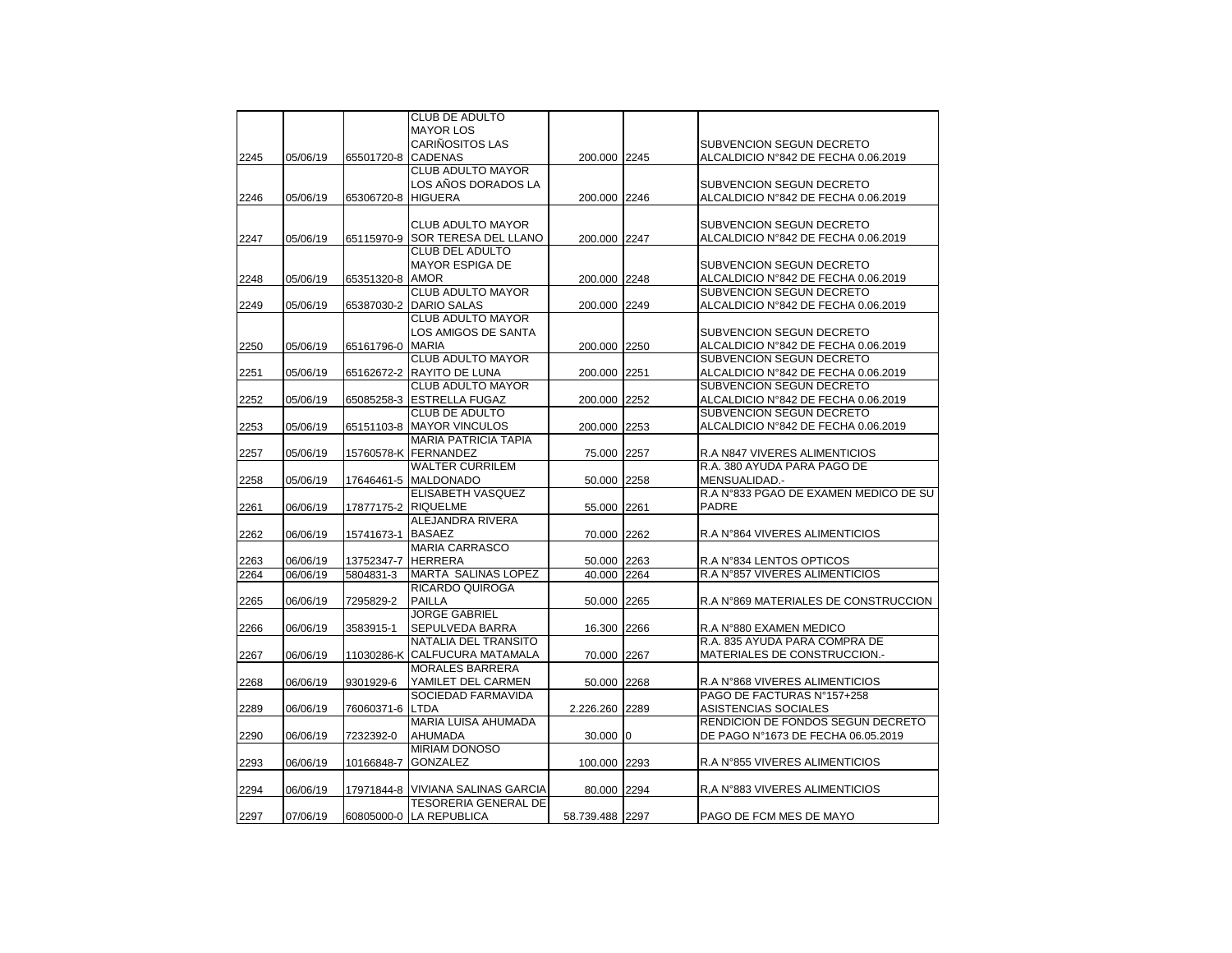|      |          |            | <b>CLUB DE ADULTO</b>             |                 |                                       |
|------|----------|------------|-----------------------------------|-----------------|---------------------------------------|
|      |          |            | <b>MAYOR LOS</b>                  |                 |                                       |
|      |          |            | CARIÑOSITOS LAS                   |                 | <b>SUBVENCION SEGUN DECRETO</b>       |
| 2245 | 05/06/19 | 65501720-8 | <b>CADENAS</b>                    | 200.000 2245    | ALCALDICIO N°842 DE FECHA 0.06.2019   |
|      |          |            | CLUB ADULTO MAYOR                 |                 |                                       |
|      |          |            | LOS AÑOS DORADOS LA               |                 | SUBVENCION SEGUN DECRETO              |
| 2246 | 05/06/19 | 65306720-8 | <b>HIGUERA</b>                    | 200.000 2246    | ALCALDICIO N°842 DE FECHA 0.06.2019   |
|      |          |            |                                   |                 |                                       |
|      |          |            | CLUB ADULTO MAYOR                 |                 | SUBVENCION SEGUN DECRETO              |
| 2247 | 05/06/19 | 65115970-9 | SOR TERESA DEL LLANO              | 200.000 2247    | ALCALDICIO N°842 DE FECHA 0.06.2019   |
|      |          |            | <b>CLUB DEL ADULTO</b>            |                 |                                       |
|      |          |            | <b>MAYOR ESPIGA DE</b>            |                 | SUBVENCION SEGUN DECRETO              |
| 2248 | 05/06/19 | 65351320-8 | <b>AMOR</b>                       | 200.000 2248    | ALCALDICIO N°842 DE FECHA 0.06.2019   |
|      |          |            | <b>CLUB ADULTO MAYOR</b>          |                 | SUBVENCION SEGUN DECRETO              |
| 2249 | 05/06/19 | 65387030-2 | <b>DARIO SALAS</b>                | 200.000 2249    | ALCALDICIO N°842 DE FECHA 0.06.2019   |
|      |          |            | <b>CLUB ADULTO MAYOR</b>          |                 |                                       |
|      |          |            | LOS AMIGOS DE SANTA               |                 | SUBVENCION SEGUN DECRETO              |
| 2250 | 05/06/19 | 65161796-0 | <b>MARIA</b>                      | 200.000 2250    | ALCALDICIO N°842 DE FECHA 0.06.2019   |
|      |          |            | CLUB ADULTO MAYOR                 |                 | SUBVENCION SEGUN DECRETO              |
| 2251 | 05/06/19 | 65162672-2 | RAYITO DE LUNA                    | 200.000 2251    | ALCALDICIO N°842 DE FECHA 0.06.2019   |
|      |          |            | <b>CLUB ADULTO MAYOR</b>          |                 | SUBVENCION SEGUN DECRETO              |
| 2252 | 05/06/19 | 65085258-3 | <b>ESTRELLA FUGAZ</b>             | 200.000 2252    | ALCALDICIO N°842 DE FECHA 0.06.2019   |
|      |          |            | <b>CLUB DE ADULTO</b>             |                 | <b>SUBVENCION SEGUN DECRETO</b>       |
| 2253 | 05/06/19 | 65151103-8 | <b>MAYOR VINCULOS</b>             | 200.000 2253    | ALCALDICIO N°842 DE FECHA 0.06.2019   |
|      |          |            | <b>MARIA PATRICIA TAPIA</b>       |                 |                                       |
| 2257 | 05/06/19 | 15760578-K | FERNANDEZ                         | 75.000 2257     | R.A N847 VIVERES ALIMENTICIOS         |
|      |          |            | <b>WALTER CURRILEM</b>            |                 | R.A. 380 AYUDA PARA PAGO DE           |
| 2258 | 05/06/19 | 17646461-5 | <b>MALDONADO</b>                  | 50.000 2258     | MENSUALIDAD.-                         |
|      |          |            | ELISABETH VASQUEZ                 |                 | R.A N°833 PGAO DE EXAMEN MEDICO DE SU |
| 2261 | 06/06/19 | 17877175-2 | <b>RIQUELME</b>                   | 55.000 2261     | <b>PADRE</b>                          |
|      |          |            | ALEJANDRA RIVERA                  |                 |                                       |
| 2262 | 06/06/19 | 15741673-1 | <b>BASAEZ</b>                     | 70.000 2262     | R.A N°864 VIVERES ALIMENTICIOS        |
|      |          |            | <b>MARIA CARRASCO</b>             |                 |                                       |
| 2263 | 06/06/19 | 13752347-7 | <b>HERRERA</b>                    | 50.000 2263     | R.A N°834 LENTOS OPTICOS              |
| 2264 | 06/06/19 | 5804831-3  | MARTA SALINAS LOPEZ               | 40.000 2264     | R.A N°857 VIVERES ALIMENTICIOS        |
|      |          |            | RICARDO QUIROGA                   |                 |                                       |
| 2265 | 06/06/19 | 7295829-2  | <b>PAILLA</b>                     | 50.000 2265     | R.A N°869 MATERIALES DE CONSTRUCCION  |
|      |          |            | <b>JORGE GABRIEL</b>              |                 |                                       |
| 2266 | 06/06/19 | 3583915-1  | SEPULVEDA BARRA                   | 16.300 2266     | R.A N°880 EXAMEN MEDICO               |
|      |          |            | NATALIA DEL TRANSITO              |                 | R.A. 835 AYUDA PARA COMPRA DE         |
| 2267 | 06/06/19 | 11030286-K | CALFUCURA MATAMALA                | 70.000 2267     | MATERIALES DE CONSTRUCCION.-          |
|      |          |            | <b>MORALES BARRERA</b>            |                 |                                       |
| 2268 | 06/06/19 | 9301929-6  | YAMILET DEL CARMEN                | 50.000 2268     | R.A N°868 VIVERES ALIMENTICIOS        |
|      |          |            | SOCIEDAD FARMAVIDA                |                 | PAGO DE FACTURAS N°157+258            |
| 2289 | 06/06/19 | 76060371-6 | <b>LTDA</b>                       | 2.226.260 2289  | ASISTENCIAS SOCIALES                  |
|      |          |            | MARIA LUISA AHUMADA               |                 | RENDICION DE FONDOS SEGUN DECRETO     |
| 2290 | 06/06/19 | 7232392-0  | AHUMADA                           | 30.000 0        | DE PAGO N°1673 DE FECHA 06.05.2019    |
|      |          |            | MIRIAM DONOSO                     |                 |                                       |
| 2293 | 06/06/19 | 10166848-7 | <b>GONZALEZ</b>                   | 100.000 2293    | R.A N°855 VIVERES ALIMENTICIOS        |
|      |          |            |                                   |                 |                                       |
| 2294 | 06/06/19 |            | 17971844-8 VIVIANA SALINAS GARCIA | 80.000 2294     | R, A N°883 VIVERES ALIMENTICIOS       |
|      |          |            | <b>TESORERIA GENERAL DE</b>       |                 |                                       |
| 2297 | 07/06/19 |            | 60805000-0 LA REPUBLICA           | 58.739.488 2297 | PAGO DE FCM MES DE MAYO               |
|      |          |            |                                   |                 |                                       |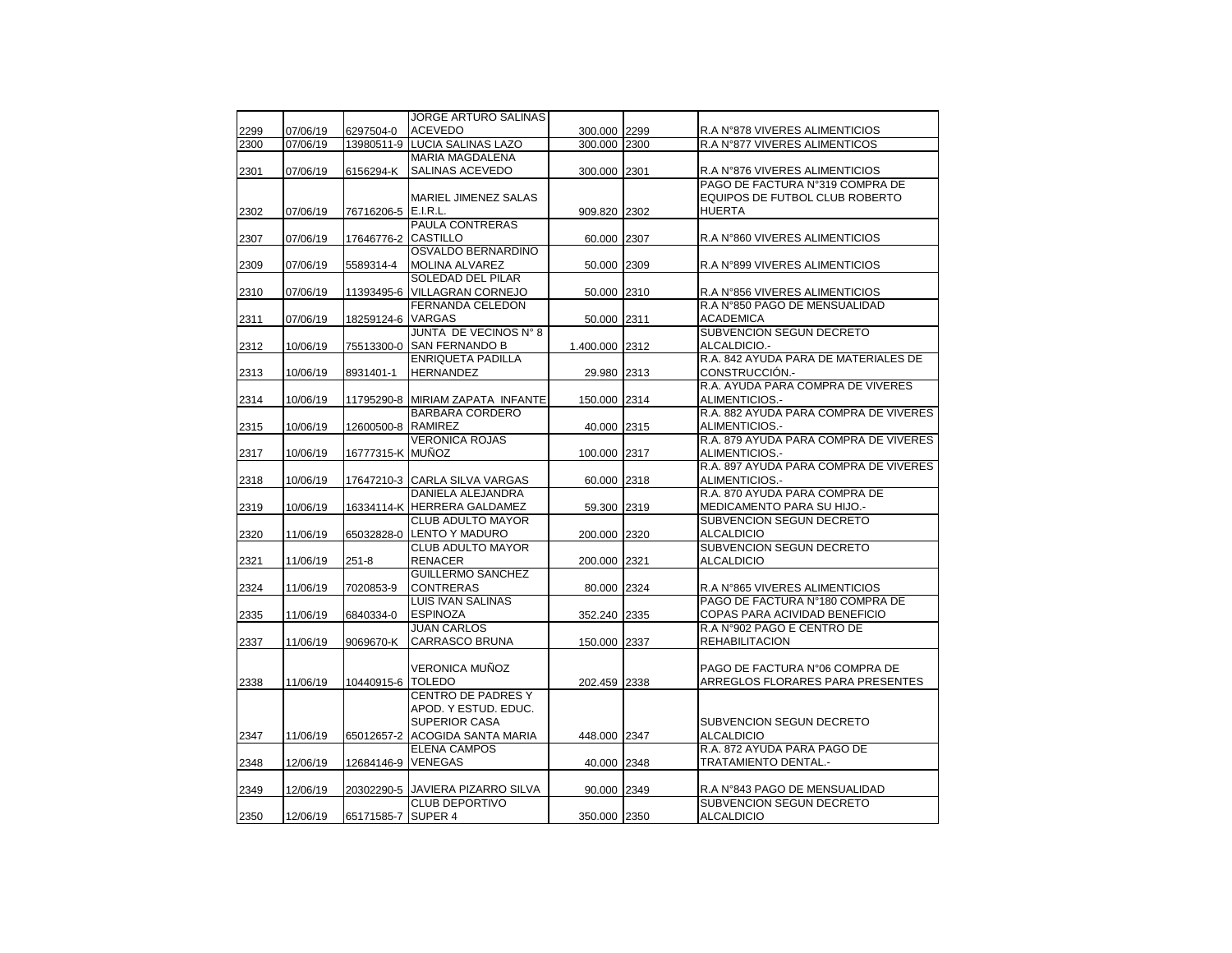|      |          |                    | <b>JORGE ARTURO SALINAS</b>      |                |      |                                       |
|------|----------|--------------------|----------------------------------|----------------|------|---------------------------------------|
| 2299 | 07/06/19 | 6297504-0          | <b>ACEVEDO</b>                   | 300.000 2299   |      | R.A N°878 VIVERES ALIMENTICIOS        |
| 2300 | 07/06/19 | 13980511-9         | <b>LUCIA SALINAS LAZO</b>        | 300.000        | 2300 | R.A N°877 VIVERES ALIMENTICOS         |
|      |          |                    | <b>MARIA MAGDALENA</b>           |                |      |                                       |
| 2301 | 07/06/19 | 6156294-K          |                                  | 300.000 2301   |      |                                       |
|      |          |                    | SALINAS ACEVEDO                  |                |      | R.A N°876 VIVERES ALIMENTICIOS        |
|      |          |                    |                                  |                |      | PAGO DE FACTURA Nº319 COMPRA DE       |
|      |          |                    | MARIEL JIMENEZ SALAS             |                |      | EQUIPOS DE FUTBOL CLUB ROBERTO        |
| 2302 | 07/06/19 | 76716206-5         | E.I.R.L.                         | 909.820 2302   |      | <b>HUERTA</b>                         |
|      |          |                    | PAULA CONTRERAS                  |                |      |                                       |
| 2307 | 07/06/19 | 17646776-2         | <b>CASTILLO</b>                  | 60.000 2307    |      | R.A N°860 VIVERES ALIMENTICIOS        |
|      |          |                    | OSVALDO BERNARDINO               |                |      |                                       |
| 2309 | 07/06/19 | 5589314-4          | <b>MOLINA ALVAREZ</b>            | 50.000         | 2309 | R.A N°899 VIVERES ALIMENTICIOS        |
|      |          |                    | <b>SOLEDAD DEL PILAR</b>         |                |      |                                       |
| 2310 | 07/06/19 | 11393495-6         | VILLAGRAN CORNEJO                | 50.000 2310    |      | R.A N°856 VIVERES ALIMENTICIOS        |
|      |          |                    | <b>FERNANDA CELEDON</b>          |                |      | R.A N°850 PAGO DE MENSUALIDAD         |
| 2311 | 07/06/19 | 18259124-6         | VARGAS                           | 50.000 2311    |      | <b>ACADEMICA</b>                      |
|      |          |                    | JUNTA DE VECINOS N° 8            |                |      | SUBVENCION SEGUN DECRETO              |
| 2312 | 10/06/19 | 75513300-0         | SAN FERNANDO B                   | 1.400.000 2312 |      | ALCALDICIO.-                          |
|      |          |                    | <b>ENRIQUETA PADILLA</b>         |                |      | R.A. 842 AYUDA PARA DE MATERIALES DE  |
| 2313 | 10/06/19 | 8931401-1          | <b>HERNANDEZ</b>                 | 29.980 2313    |      | CONSTRUCCIÓN.-                        |
|      |          |                    |                                  |                |      | R.A. AYUDA PARA COMPRA DE VIVERES     |
| 2314 | 10/06/19 | 11795290-8         | MIRIAM ZAPATA INFANTE            | 150.000 2314   |      | ALIMENTICIOS.-                        |
|      |          |                    | <b>BARBARA CORDERO</b>           |                |      | R.A. 882 AYUDA PARA COMPRA DE VIVERES |
| 2315 | 10/06/19 | 12600500-8 RAMIREZ |                                  | 40.000 2315    |      | ALIMENTICIOS.-                        |
|      |          |                    | <b>VERONICA ROJAS</b>            |                |      | R.A. 879 AYUDA PARA COMPRA DE VIVERES |
|      |          |                    |                                  |                |      |                                       |
| 2317 | 10/06/19 | 16777315-K MUÑOZ   |                                  | 100.000 2317   |      | ALIMENTICIOS.-                        |
|      |          |                    |                                  |                |      | R.A. 897 AYUDA PARA COMPRA DE VIVERES |
| 2318 | 10/06/19 |                    | 17647210-3 CARLA SILVA VARGAS    | 60.000 2318    |      | ALIMENTICIOS.-                        |
|      |          |                    | DANIELA ALEJANDRA                |                |      | R.A. 870 AYUDA PARA COMPRA DE         |
| 2319 | 10/06/19 |                    | 16334114-K HERRERA GALDAMEZ      | 59.300 2319    |      | MEDICAMENTO PARA SU HIJO .-           |
|      |          |                    | <b>CLUB ADULTO MAYOR</b>         |                |      | SUBVENCION SEGUN DECRETO              |
| 2320 | 11/06/19 | 65032828-0         | LENTO Y MADURO                   | 200.000        | 2320 | <b>ALCALDICIO</b>                     |
|      |          |                    | <b>CLUB ADULTO MAYOR</b>         |                |      | SUBVENCION SEGUN DECRETO              |
| 2321 | 11/06/19 | $251 - 8$          | <b>RENACER</b>                   | 200.000 2321   |      | <b>ALCALDICIO</b>                     |
|      |          |                    | <b>GUILLERMO SANCHEZ</b>         |                |      |                                       |
| 2324 | 11/06/19 | 7020853-9          | <b>CONTRERAS</b>                 | 80.000 2324    |      | R.A N°865 VIVERES ALIMENTICIOS        |
|      |          |                    | <b>LUIS IVAN SALINAS</b>         |                |      | PAGO DE FACTURA N°180 COMPRA DE       |
| 2335 | 11/06/19 | 6840334-0          | <b>ESPINOZA</b>                  | 352.240 2335   |      | COPAS PARA ACIVIDAD BENEFICIO         |
|      |          |                    | <b>JUAN CARLOS</b>               |                |      | R.A N°902 PAGO E CENTRO DE            |
| 2337 | 11/06/19 | 9069670-K          | <b>CARRASCO BRUNA</b>            | 150.000 2337   |      | <b>REHABILITACION</b>                 |
|      |          |                    |                                  |                |      |                                       |
|      |          |                    | <b>VERONICA MUÑOZ</b>            |                |      | PAGO DE FACTURA Nº06 COMPRA DE        |
| 2338 | 11/06/19 | 10440915-6         | <b>TOLEDO</b>                    | 202.459 2338   |      | ARREGLOS FLORARES PARA PRESENTES      |
|      |          |                    | <b>CENTRO DE PADRES Y</b>        |                |      |                                       |
|      |          |                    | APOD. Y ESTUD. EDUC.             |                |      |                                       |
|      |          |                    | <b>SUPERIOR CASA</b>             |                |      | SUBVENCION SEGUN DECRETO              |
| 2347 | 11/06/19 | 65012657-2         | ACOGIDA SANTA MARIA              | 448.000 2347   |      | <b>ALCALDICIO</b>                     |
|      |          |                    |                                  |                |      |                                       |
|      |          |                    | <b>ELENA CAMPOS</b>              |                |      | R.A. 872 AYUDA PARA PAGO DE           |
| 2348 | 12/06/19 | 12684146-9 VENEGAS |                                  | 40.000 2348    |      | TRATAMIENTO DENTAL.-                  |
|      |          |                    |                                  |                |      |                                       |
| 2349 | 12/06/19 |                    | 20302290-5 JAVIERA PIZARRO SILVA | 90.000 2349    |      | R.A N°843 PAGO DE MENSUALIDAD         |
|      |          |                    | <b>CLUB DEPORTIVO</b>            |                |      | SUBVENCION SEGUN DECRETO              |
| 2350 | 12/06/19 | 65171585-7 SUPER 4 |                                  | 350.000 2350   |      | <b>ALCALDICIO</b>                     |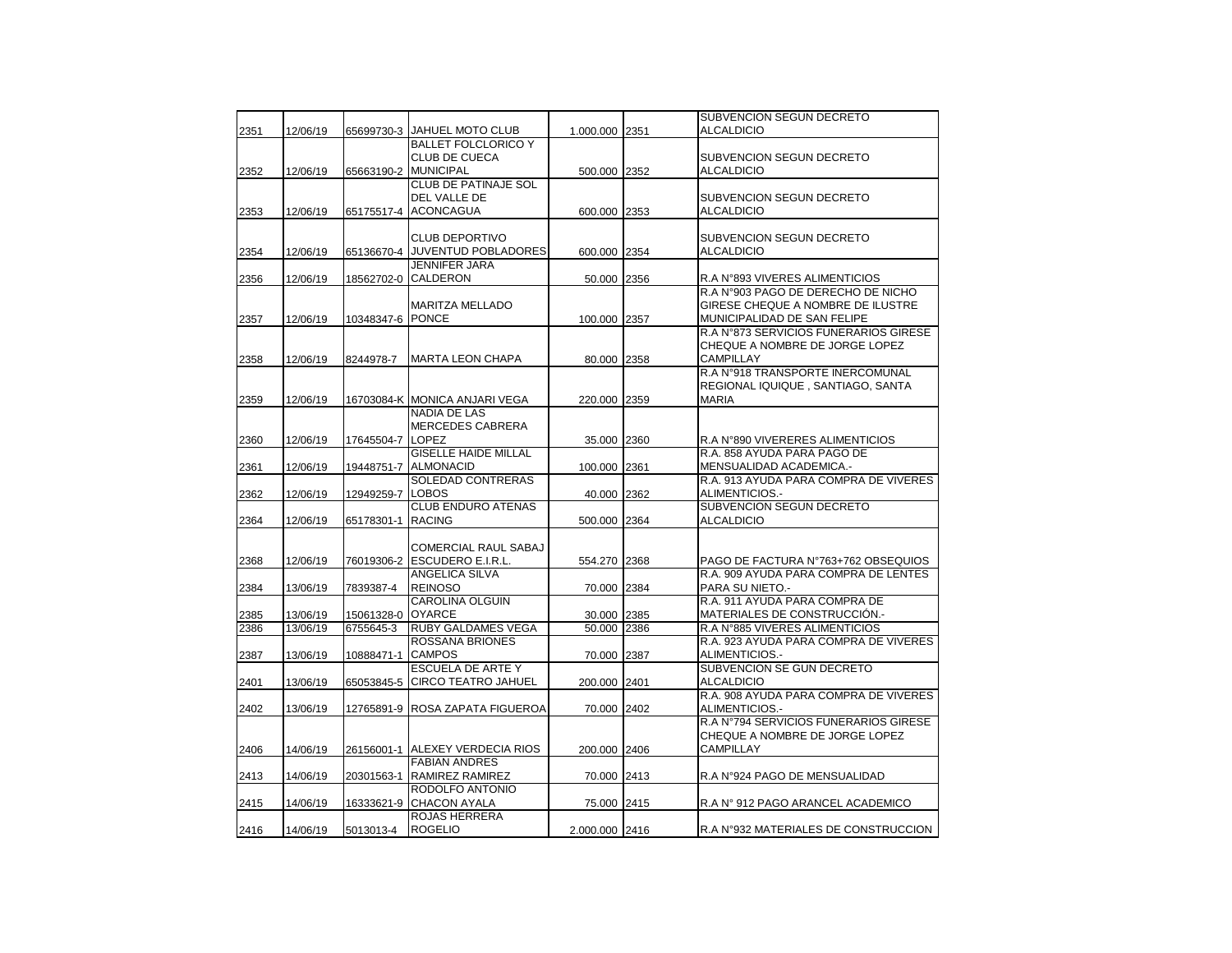|      |          |                  |                               |                |      | SUBVENCION SEGUN DECRETO              |
|------|----------|------------------|-------------------------------|----------------|------|---------------------------------------|
| 2351 | 12/06/19 | 65699730-3       | JAHUEL MOTO CLUB              | 1.000.000 2351 |      | ALCALDICIO                            |
|      |          |                  | <b>BALLET FOLCLORICO Y</b>    |                |      |                                       |
|      |          |                  | <b>CLUB DE CUECA</b>          |                |      | SUBVENCION SEGUN DECRETO              |
| 2352 | 12/06/19 | 65663190-2       | <b>MUNICIPAL</b>              | 500.000 2352   |      | ALCALDICIO                            |
|      |          |                  | <b>CLUB DE PATINAJE SOL</b>   |                |      |                                       |
|      |          |                  | DEL VALLE DE                  |                |      | SUBVENCION SEGUN DECRETO              |
| 2353 | 12/06/19 | 65175517-4       | <b>ACONCAGUA</b>              | 600.000 2353   |      | <b>ALCALDICIO</b>                     |
|      |          |                  |                               |                |      |                                       |
|      |          |                  | <b>CLUB DEPORTIVO</b>         |                |      | SUBVENCION SEGUN DECRETO              |
| 2354 | 12/06/19 | 65136670-4       | JUVENTUD POBLADORES           | 600.000 2354   |      | <b>ALCALDICIO</b>                     |
|      |          |                  | <b>JENNIFER JARA</b>          |                |      |                                       |
| 2356 | 12/06/19 | 18562702-0       | <b>CALDERON</b>               | 50.000 2356    |      | R.A N°893 VIVERES ALIMENTICIOS        |
|      |          |                  |                               |                |      | R.A N°903 PAGO DE DERECHO DE NICHO    |
|      |          |                  | MARITZA MELLADO               |                |      | GIRESE CHEQUE A NOMBRE DE ILUSTRE     |
| 2357 | 12/06/19 | 10348347-6 PONCE |                               | 100.000 2357   |      | MUNICIPALIDAD DE SAN FELIPE           |
|      |          |                  |                               |                |      | R.A N°873 SERVICIOS FUNERARIOS GIRESE |
|      |          |                  |                               |                |      | CHEQUE A NOMBRE DE JORGE LOPEZ        |
| 2358 | 12/06/19 | 8244978-7        | <b>MARTA LEON CHAPA</b>       | 80.000 2358    |      | <b>CAMPILLAY</b>                      |
|      |          |                  |                               |                |      | R.A N°918 TRANSPORTE INERCOMUNAL      |
|      |          |                  |                               |                |      | REGIONAL IQUIQUE, SANTIAGO, SANTA     |
| 2359 | 12/06/19 |                  | 16703084-K MONICA ANJARI VEGA | 220.000 2359   |      | <b>MARIA</b>                          |
|      |          |                  | <b>NADIA DE LAS</b>           |                |      |                                       |
|      |          |                  | <b>MERCEDES CABRERA</b>       |                |      |                                       |
| 2360 | 12/06/19 | 17645504-7       | <b>LOPEZ</b>                  | 35.000 2360    |      | R.A N°890 VIVERERES ALIMENTICIOS      |
|      |          |                  | <b>GISELLE HAIDE MILLAL</b>   |                |      | R.A. 858 AYUDA PARA PAGO DE           |
| 2361 | 12/06/19 | 19448751-7       | <b>ALMONACID</b>              | 100.000 2361   |      | MENSUALIDAD ACADEMICA.-               |
|      |          |                  | SOLEDAD CONTRERAS             |                |      | R.A. 913 AYUDA PARA COMPRA DE VIVERES |
| 2362 | 12/06/19 | 12949259-7       | <b>LOBOS</b>                  | 40.000 2362    |      | ALIMENTICIOS.-                        |
|      |          |                  | CLUB ENDURO ATENAS            |                |      | SUBVENCION SEGUN DECRETO              |
| 2364 | 12/06/19 | 65178301-1       | <b>RACING</b>                 | 500.000 2364   |      | <b>ALCALDICIO</b>                     |
|      |          |                  |                               |                |      |                                       |
|      |          |                  | COMERCIAL RAUL SABAJ          |                |      |                                       |
| 2368 | 12/06/19 | 76019306-2       | ESCUDERO E.I.R.L.             | 554.270 2368   |      | PAGO DE FACTURA Nº763+762 OBSEQUIOS   |
|      |          |                  | <b>ANGELICA SILVA</b>         |                |      | R.A. 909 AYUDA PARA COMPRA DE LENTES  |
| 2384 | 13/06/19 | 7839387-4        | <b>REINOSO</b>                | 70.000 2384    |      | PARA SU NIETO.-                       |
|      |          |                  | CAROLINA OLGUIN               |                |      | R.A. 911 AYUDA PARA COMPRA DE         |
| 2385 | 13/06/19 | 15061328-0       | <b>OYARCE</b>                 | 30.000 2385    |      | MATERIALES DE CONSTRUCCIÓN.-          |
| 2386 | 13/06/19 | 6755645-3        | <b>RUBY GALDAMES VEGA</b>     | 50.000         | 2386 | R.A N°885 VIVERES ALIMENTICIOS        |
|      |          |                  | <b>ROSSANA BRIONES</b>        |                |      | R.A. 923 AYUDA PARA COMPRA DE VIVERES |
| 2387 | 13/06/19 | 10888471-1       | <b>CAMPOS</b>                 | 70.000 2387    |      | ALIMENTICIOS.-                        |
|      |          |                  | <b>ESCUELA DE ARTE Y</b>      |                |      | SUBVENCION SE GUN DECRETO             |
| 2401 | 13/06/19 | 65053845-5       | <b>CIRCO TEATRO JAHUEL</b>    | 200.000 2401   |      | <b>ALCALDICIO</b>                     |
|      |          |                  |                               |                |      | R.A. 908 AYUDA PARA COMPRA DE VIVERES |
| 2402 | 13/06/19 | 12765891-9       | ROSA ZAPATA FIGUEROA          | 70.000 2402    |      | ALIMENTICIOS.-                        |
|      |          |                  |                               |                |      | R.A N°794 SERVICIOS FUNERARIOS GIRESE |
|      |          |                  |                               |                |      | CHEQUE A NOMBRE DE JORGE LOPEZ        |
| 2406 | 14/06/19 | 26156001-1       | ALEXEY VERDECIA RIOS          | 200.000 2406   |      | CAMPILLAY                             |
|      |          |                  | <b>FABIAN ANDRES</b>          |                |      |                                       |
| 2413 | 14/06/19 | 20301563-1       | RAMIREZ RAMIREZ               | 70.000 2413    |      | R.A N°924 PAGO DE MENSUALIDAD         |
|      |          |                  | RODOLFO ANTONIO               |                |      |                                       |
| 2415 | 14/06/19 | 16333621-9       | <b>CHACON AYALA</b>           | 75.000 2415    |      | R.A N° 912 PAGO ARANCEL ACADEMICO     |
|      |          |                  | ROJAS HERRERA                 |                |      |                                       |
| 2416 | 14/06/19 | 5013013-4        | <b>ROGELIO</b>                | 2.000.000 2416 |      | R.A N°932 MATERIALES DE CONSTRUCCION  |
|      |          |                  |                               |                |      |                                       |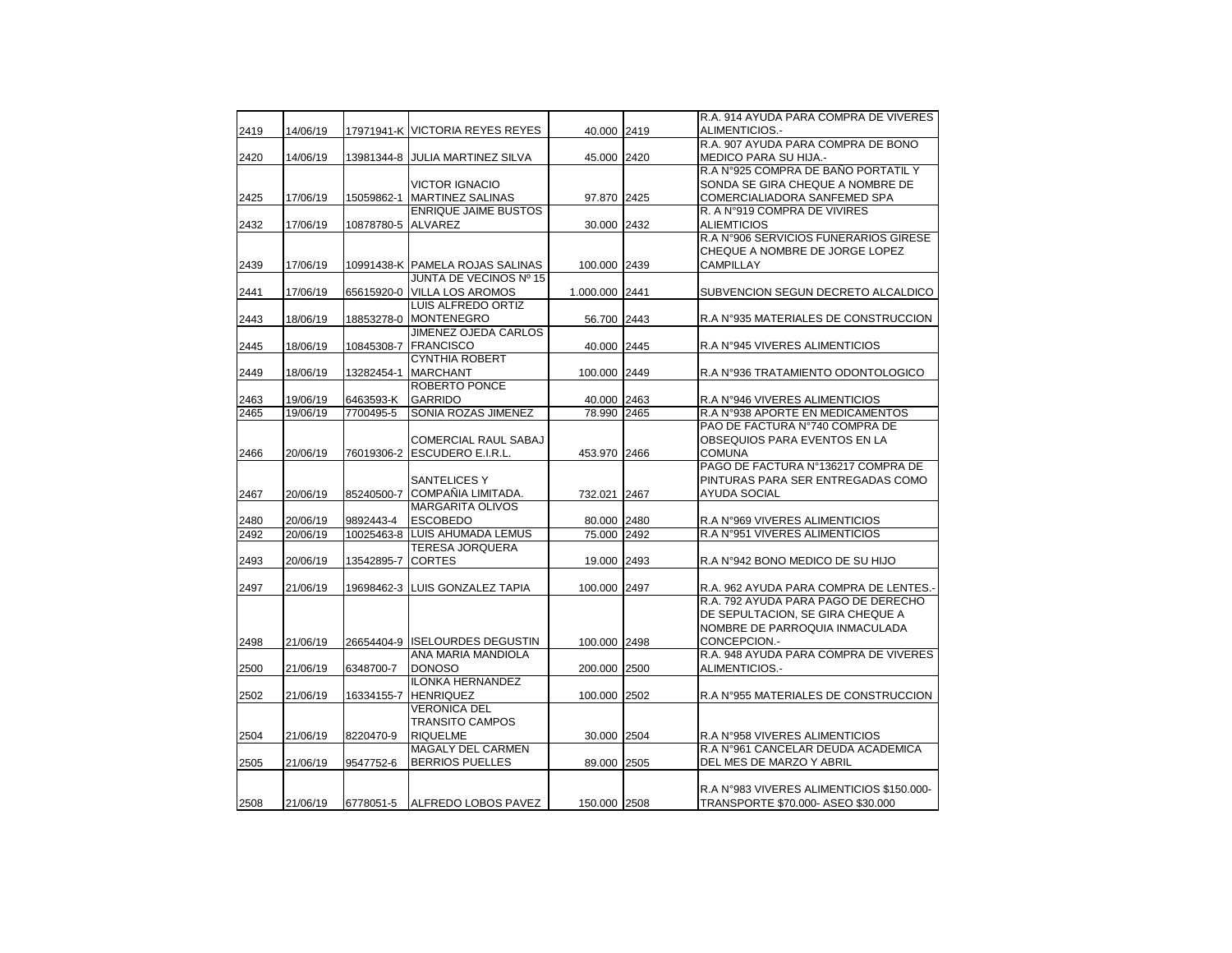|      |          |                    |                                 |                | R.A. 914 AYUDA PARA COMPRA DE VIVERES     |
|------|----------|--------------------|---------------------------------|----------------|-------------------------------------------|
| 2419 | 14/06/19 |                    | 17971941-K VICTORIA REYES REYES | 40.000 2419    | ALIMENTICIOS.-                            |
|      |          |                    |                                 |                | R.A. 907 AYUDA PARA COMPRA DE BONO        |
| 2420 | 14/06/19 |                    | 13981344-8 JULIA MARTINEZ SILVA | 45.000 2420    | MEDICO PARA SU HIJA.-                     |
|      |          |                    |                                 |                | R.A N°925 COMPRA DE BAÑO PORTATIL Y       |
|      |          |                    | <b>VICTOR IGNACIO</b>           |                | SONDA SE GIRA CHEQUE A NOMBRE DE          |
| 2425 | 17/06/19 | 15059862-1         | <b>MARTINEZ SALINAS</b>         | 97.870 2425    | COMERCIALIADORA SANFEMED SPA              |
|      |          |                    | <b>ENRIQUE JAIME BUSTOS</b>     |                | R. A N°919 COMPRA DE VIVIRES              |
| 2432 | 17/06/19 | 10878780-5 ALVAREZ |                                 | 30.000 2432    | <b>ALIEMTICIOS</b>                        |
|      |          |                    |                                 |                | R.A N°906 SERVICIOS FUNERARIOS GIRESE     |
|      |          |                    |                                 |                | CHEQUE A NOMBRE DE JORGE LOPEZ            |
| 2439 | 17/06/19 |                    | 10991438-K PAMELA ROJAS SALINAS | 100.000 2439   | CAMPILLAY                                 |
|      |          |                    | JUNTA DE VECINOS Nº 15          |                |                                           |
| 2441 | 17/06/19 | 65615920-0         | <b>VILLA LOS AROMOS</b>         | 1.000.000 2441 | SUBVENCION SEGUN DECRETO ALCALDICO        |
|      |          |                    | LUIS ALFREDO ORTIZ              |                |                                           |
| 2443 | 18/06/19 |                    | 18853278-0 MONTENEGRO           | 56.700 2443    | R.A N°935 MATERIALES DE CONSTRUCCION      |
|      |          |                    | JIMENEZ OJEDA CARLOS            |                |                                           |
| 2445 | 18/06/19 |                    | 10845308-7 FRANCISCO            | 40.000 2445    | R.A N°945 VIVERES ALIMENTICIOS            |
|      |          |                    | <b>CYNTHIA ROBERT</b>           |                |                                           |
| 2449 | 18/06/19 | 13282454-1         | <b>MARCHANT</b>                 | 100.000 2449   | R.A N°936 TRATAMIENTO ODONTOLOGICO        |
|      |          |                    | <b>ROBERTO PONCE</b>            |                |                                           |
| 2463 | 19/06/19 | 6463593-K          | <b>GARRIDO</b>                  | 40.000 2463    | R.A N°946 VIVERES ALIMENTICIOS            |
| 2465 | 19/06/19 | 7700495-5          | <b>SONIA ROZAS JIMENEZ</b>      | 78.990 2465    | R.A N°938 APORTE EN MEDICAMENTOS          |
|      |          |                    |                                 |                | PAO DE FACTURA Nº740 COMPRA DE            |
|      |          |                    | <b>COMERCIAL RAUL SABAJ</b>     |                | OBSEQUIOS PARA EVENTOS EN LA              |
| 2466 | 20/06/19 | 76019306-2         | <b>ESCUDERO E.I.R.L.</b>        | 453.970 2466   | <b>COMUNA</b>                             |
|      |          |                    |                                 |                | PAGO DE FACTURA Nº136217 COMPRA DE        |
|      |          |                    | <b>SANTELICES Y</b>             |                | PINTURAS PARA SER ENTREGADAS COMO         |
| 2467 | 20/06/19 |                    | 85240500-7 COMPAÑIA LIMITADA.   | 732.021 2467   | <b>AYUDA SOCIAL</b>                       |
|      |          |                    | <b>MARGARITA OLIVOS</b>         |                |                                           |
| 2480 | 20/06/19 | 9892443-4          | <b>ESCOBEDO</b>                 | 80.000 2480    | R.A N°969 VIVERES ALIMENTICIOS            |
| 2492 | 20/06/19 | 10025463-8         | LUIS AHUMADA LEMUS              | 75.000 2492    | R.A N°951 VIVERES ALIMENTICIOS            |
|      |          |                    | <b>TERESA JORQUERA</b>          |                |                                           |
| 2493 | 20/06/19 | 13542895-7         | <b>CORTES</b>                   | 19.000 2493    | R.A N°942 BONO MEDICO DE SU HIJO          |
|      |          |                    |                                 |                |                                           |
| 2497 | 21/06/19 |                    | 19698462-3 LUIS GONZALEZ TAPIA  | 100.000 2497   | R.A. 962 AYUDA PARA COMPRA DE LENTES.-    |
|      |          |                    |                                 |                | R.A. 792 AYUDA PARA PAGO DE DERECHO       |
|      |          |                    |                                 |                | DE SEPULTACION, SE GIRA CHEQUE A          |
|      |          |                    |                                 |                | NOMBRE DE PARROQUIA INMACULADA            |
| 2498 | 21/06/19 |                    | 26654404-9 ISELOURDES DEGUSTIN  | 100.000 2498   | CONCEPCION.-                              |
|      |          |                    | ANA MARIA MANDIOLA              |                | R.A. 948 AYUDA PARA COMPRA DE VIVERES     |
| 2500 | 21/06/19 | 6348700-7          | <b>DONOSO</b>                   | 200.000 2500   | ALIMENTICIOS.-                            |
|      |          |                    | <b>ILONKA HERNANDEZ</b>         |                |                                           |
| 2502 | 21/06/19 | 16334155-7         | <b>HENRIQUEZ</b>                | 100.000 2502   | R.A N°955 MATERIALES DE CONSTRUCCION      |
|      |          |                    | <b>VERONICA DEL</b>             |                |                                           |
|      |          |                    | <b>TRANSITO CAMPOS</b>          |                |                                           |
| 2504 | 21/06/19 | 8220470-9          | <b>RIQUELME</b>                 | 30.000 2504    | R.A N°958 VIVERES ALIMENTICIOS            |
|      |          |                    | <b>MAGALY DEL CARMEN</b>        |                | R.A N°961 CANCELAR DEUDA ACADEMICA        |
| 2505 | 21/06/19 | 9547752-6          | <b>BERRIOS PUELLES</b>          | 89.000 2505    | DEL MES DE MARZO Y ABRIL                  |
|      |          |                    |                                 |                |                                           |
|      |          |                    |                                 |                | R.A N°983 VIVERES ALIMENTICIOS \$150.000- |
| 2508 | 21/06/19 | 6778051-5          | <b>ALFREDO LOBOS PAVEZ</b>      | 150.000 2508   | TRANSPORTE \$70.000- ASEO \$30.000        |
|      |          |                    |                                 |                |                                           |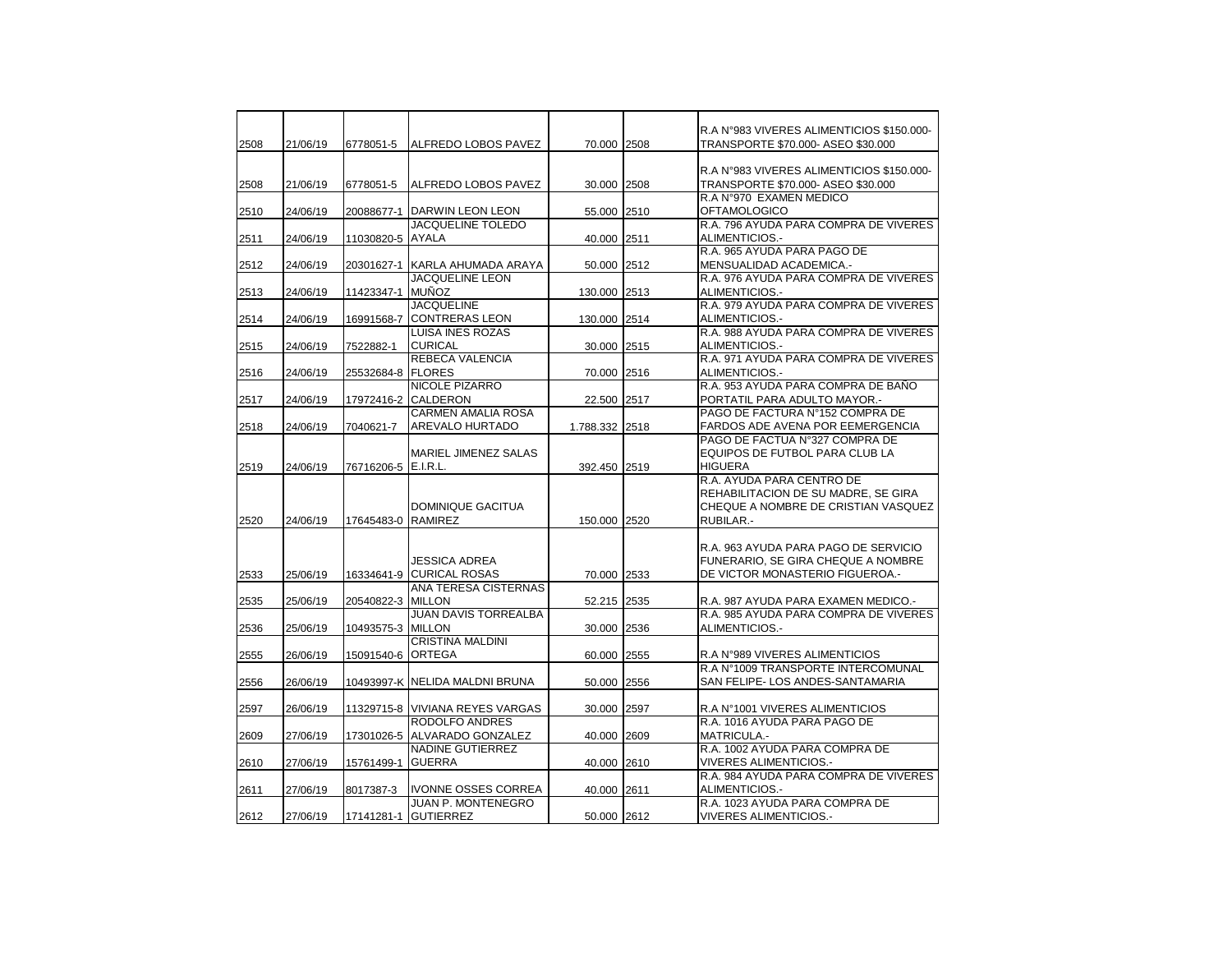| 2508 | 21/06/19 | 6778051-5           | ALFREDO LOBOS PAVEZ                                                              | 70.000 2508    |      | R.A N°983 VIVERES ALIMENTICIOS \$150.000-<br>TRANSPORTE \$70.000- ASEO \$30.000                                      |
|------|----------|---------------------|----------------------------------------------------------------------------------|----------------|------|----------------------------------------------------------------------------------------------------------------------|
| 2508 | 21/06/19 | 6778051-5           | ALFREDO LOBOS PAVEZ                                                              | 30.000 2508    |      | R.A N°983 VIVERES ALIMENTICIOS \$150.000-<br>TRANSPORTE \$70.000- ASEO \$30.000                                      |
| 2510 | 24/06/19 | 20088677-1          | DARWIN LEON LEON                                                                 | 55.000         | 2510 | R.A N°970 EXAMEN MEDICO<br><b>OFTAMOLOGICO</b>                                                                       |
| 2511 | 24/06/19 | 11030820-5 AYALA    | JACQUELINE TOLEDO                                                                | 40.000         | 2511 | R.A. 796 AYUDA PARA COMPRA DE VIVERES<br>ALIMENTICIOS.-                                                              |
| 2512 | 24/06/19 |                     | 20301627-1 KARLA AHUMADA ARAYA                                                   | 50.000 2512    |      | R.A. 965 AYUDA PARA PAGO DE<br>MENSUALIDAD ACADEMICA.-                                                               |
| 2513 | 24/06/19 | 11423347-1          | <b>JACQUELINE LEON</b><br><b>MUÑOZ</b>                                           | 130.000 2513   |      | R.A. 976 AYUDA PARA COMPRA DE VIVERES<br>ALIMENTICIOS.-                                                              |
| 2514 | 24/06/19 | 16991568-7          | <b>JACQUELINE</b><br><b>CONTRERAS LEON</b>                                       | 130.000 2514   |      | R.A. 979 AYUDA PARA COMPRA DE VIVERES<br>ALIMENTICIOS .-                                                             |
| 2515 | 24/06/19 | 7522882-1           | <b>LUISA INES ROZAS</b><br><b>CURICAL</b>                                        | 30.000 2515    |      | R.A. 988 AYUDA PARA COMPRA DE VIVERES<br>ALIMENTICIOS .-                                                             |
| 2516 | 24/06/19 | 25532684-8          | REBECA VALENCIA<br><b>FLORES</b>                                                 | 70.000 2516    |      | R.A. 971 AYUDA PARA COMPRA DE VIVERES<br>ALIMENTICIOS .-                                                             |
| 2517 | 24/06/19 | 17972416-2          | <b>NICOLE PIZARRO</b><br><b>CALDERON</b>                                         | 22.500         | 2517 | R.A. 953 AYUDA PARA COMPRA DE BAÑO<br>PORTATIL PARA ADULTO MAYOR.-                                                   |
| 2518 | 24/06/19 | 7040621-7           | <b>CARMEN AMALIA ROSA</b><br>AREVALO HURTADO                                     | 1.788.332 2518 |      | PAGO DE FACTURA Nº152 COMPRA DE<br>FARDOS ADE AVENA POR EEMERGENCIA                                                  |
| 2519 | 24/06/19 | 76716206-5 E.I.R.L. | MARIEL JIMENEZ SALAS                                                             | 392.450 2519   |      | PAGO DE FACTUA N°327 COMPRA DE<br>EQUIPOS DE FUTBOL PARA CLUB LA<br><b>HIGUERA</b>                                   |
| 2520 | 24/06/19 | 17645483-0 RAMIREZ  | DOMINIQUE GACITUA                                                                | 150.000 2520   |      | R.A. AYUDA PARA CENTRO DE<br>REHABILITACION DE SU MADRE, SE GIRA<br>CHEQUE A NOMBRE DE CRISTIAN VASQUEZ<br>RUBILAR.- |
| 2533 | 25/06/19 |                     | JESSICA ADREA<br>16334641-9 CURICAL ROSAS                                        | 70.000 2533    |      | R.A. 963 AYUDA PARA PAGO DE SERVICIO<br>FUNERARIO, SE GIRA CHEQUE A NOMBRE<br>DE VICTOR MONASTERIO FIGUEROA.-        |
| 2535 | 25/06/19 | 20540822-3          | ANA TERESA CISTERNAS<br><b>MILLON</b>                                            | 52.215 2535    |      | R.A. 987 AYUDA PARA EXAMEN MEDICO.-                                                                                  |
| 2536 | 25/06/19 | 10493575-3 MILLON   | <b>JUAN DAVIS TORREALBA</b>                                                      | 30.000 2536    |      | R.A. 985 AYUDA PARA COMPRA DE VIVERES<br>ALIMENTICIOS.-                                                              |
| 2555 | 26/06/19 | 15091540-6          | <b>CRISTINA MALDINI</b><br><b>ORTEGA</b>                                         | 60.000 2555    |      | R.A N°989 VIVERES ALIMENTICIOS                                                                                       |
| 2556 | 26/06/19 |                     | 10493997-K NELIDA MALDNI BRUNA                                                   | 50.000 2556    |      | R.A N°1009 TRANSPORTE INTERCOMUNAL<br>SAN FELIPE- LOS ANDES-SANTAMARIA                                               |
| 2597 | 26/06/19 |                     | 11329715-8 VIVIANA REYES VARGAS                                                  | 30.000         | 2597 | R.A N°1001 VIVERES ALIMENTICIOS                                                                                      |
| 2609 | 27/06/19 |                     | <b>RODOLFO ANDRES</b><br>17301026-5 ALVARADO GONZALEZ<br><b>NADINE GUTIERREZ</b> | 40.000 2609    |      | R.A. 1016 AYUDA PARA PAGO DE<br><b>MATRICULA.-</b><br>R.A. 1002 AYUDA PARA COMPRA DE                                 |
| 2610 | 27/06/19 | 15761499-1          | <b>GUERRA</b>                                                                    | 40.000 2610    |      | <b>VIVERES ALIMENTICIOS.-</b>                                                                                        |
| 2611 | 27/06/19 | 8017387-3           | <b>IVONNE OSSES CORREA</b>                                                       | 40.000 2611    |      | R.A. 984 AYUDA PARA COMPRA DE VIVERES<br>ALIMENTICIOS.-                                                              |
| 2612 | 27/06/19 | 17141281-1          | JUAN P. MONTENEGRO<br><b>GUTIERREZ</b>                                           | 50.000 2612    |      | R.A. 1023 AYUDA PARA COMPRA DE<br><b>VIVERES ALIMENTICIOS.-</b>                                                      |